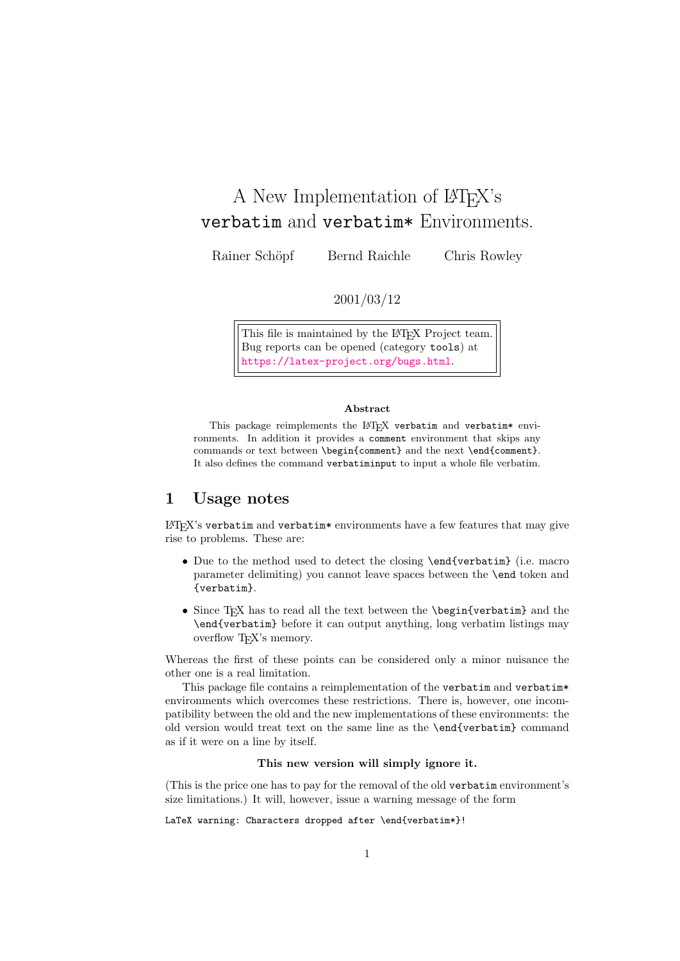# A New Implementation of LAT<sub>EX</sub>'s verbatim and verbatim\* Environments.

Rainer Schöpf Bernd Raichle Chris Rowley

2001/03/12

This file is maintained by the LATEX Project team. Bug reports can be opened (category tools) at <https://latex-project.org/bugs.html>.

#### Abstract

This package reimplements the LATEX verbatim and verbatim\* environments. In addition it provides a comment environment that skips any commands or text between \begin{comment} and the next \end{comment}. It also defines the command verbatiminput to input a whole file verbatim.

# 1 Usage notes

 $\mathbb{E} \mathbb{E} \mathbb{E} \mathbb{E} \mathbb{E} \mathbb{E} \mathbb{E} \mathbb{E} \mathbb{E} \mathbb{E} \mathbb{E} \mathbb{E} \mathbb{E} \mathbb{E} \mathbb{E} \mathbb{E} \mathbb{E} \mathbb{E} \mathbb{E} \mathbb{E} \mathbb{E} \mathbb{E} \mathbb{E} \mathbb{E} \mathbb{E} \mathbb{E} \mathbb{E} \mathbb{E} \mathbb{E} \mathbb{E} \mathbb{E} \mathbb{E} \mathbb{E} \mathbb{E} \mathbb{E} \mathbb{E} \mathbb{$ rise to problems. These are:

- Due to the method used to detect the closing **\end{verbatim}** (i.e. macro parameter delimiting) you cannot leave spaces between the \end token and {verbatim}.
- Since TEX has to read all the text between the \begin{verbatim} and the \end{verbatim} before it can output anything, long verbatim listings may overflow T<sub>E</sub>X's memory.

Whereas the first of these points can be considered only a minor nuisance the other one is a real limitation.

This package file contains a reimplementation of the verbatim and verbatim\* environments which overcomes these restrictions. There is, however, one incompatibility between the old and the new implementations of these environments: the old version would treat text on the same line as the \end{verbatim} command as if it were on a line by itself.

#### This new version will simply ignore it.

(This is the price one has to pay for the removal of the old verbatim environment's size limitations.) It will, however, issue a warning message of the form

### LaTeX warning: Characters dropped after \end{verbatim\*}!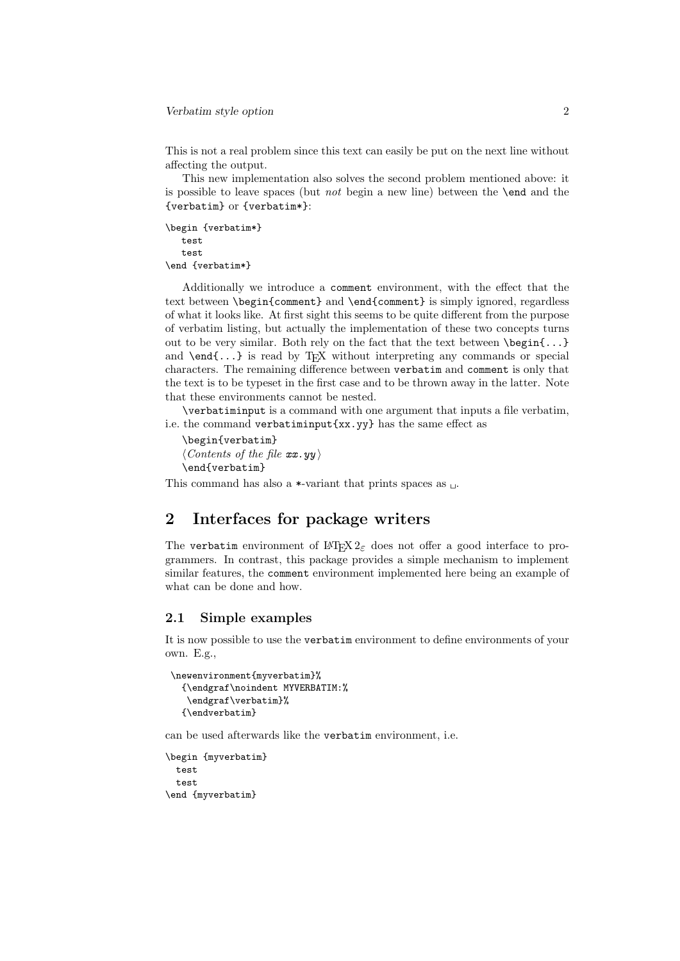This is not a real problem since this text can easily be put on the next line without affecting the output.

This new implementation also solves the second problem mentioned above: it is possible to leave spaces (but *not* begin a new line) between the **\end** and the {verbatim} or {verbatim\*}:

```
\begin {verbatim*}
  test
   test
\end {verbatim*}
```
Additionally we introduce a comment environment, with the effect that the text between \begin{comment} and \end{comment} is simply ignored, regardless of what it looks like. At first sight this seems to be quite different from the purpose of verbatim listing, but actually the implementation of these two concepts turns out to be very similar. Both rely on the fact that the text between  $\begin{bmatrix} 1 & 1 \\ 0 & 1 \end{bmatrix}$ and  $\end{math}$ ... is read by TFX without interpreting any commands or special characters. The remaining difference between verbatim and comment is only that the text is to be typeset in the first case and to be thrown away in the latter. Note that these environments cannot be nested.

\verbatiminput is a command with one argument that inputs a file verbatim, i.e. the command verbatiminput{xx.yy} has the same effect as

```
\begin{verbatim}
\langle Contents\ of\ the\ file\ xx.yy \rangle\end{verbatim}
```
This command has also a  $\ast$ -variant that prints spaces as  $\Box$ .

# 2 Interfaces for package writers

The verbatim environment of  $\mathbb{H}$ T<sub>E</sub>X  $2_{\epsilon}$  does not offer a good interface to programmers. In contrast, this package provides a simple mechanism to implement similar features, the comment environment implemented here being an example of what can be done and how.

### 2.1 Simple examples

It is now possible to use the verbatim environment to define environments of your own. E.g.,

```
\newenvironment{myverbatim}%
  {\endgraf\noindent MYVERBATIM:%
  \endgraf\verbatim}%
  {\endverbatim}
```
can be used afterwards like the verbatim environment, i.e.

```
\begin {myverbatim}
 test
 test
\end {myverbatim}
```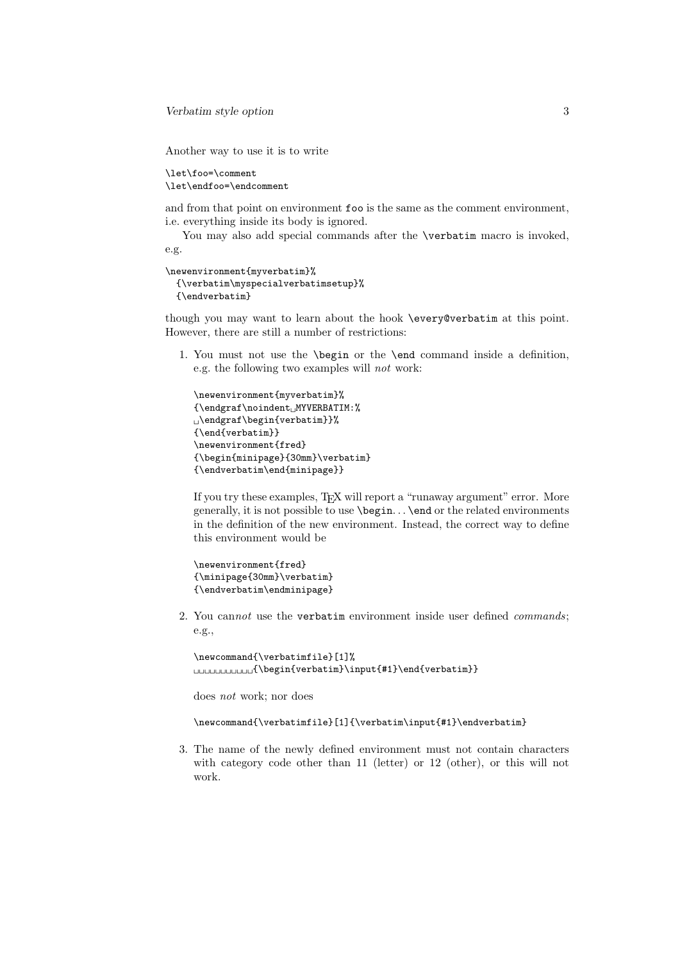Verbatim style option 3

Another way to use it is to write

```
\let\foo=\comment
\let\endfoo=\endcomment
```
and from that point on environment foo is the same as the comment environment, i.e. everything inside its body is ignored.

You may also add special commands after the **\verbatim** macro is invoked, e.g.

```
\newenvironment{myverbatim}%
 {\verbatim\myspecialverbatimsetup}%
 {\endverbatim}
```
though you may want to learn about the hook \every@verbatim at this point. However, there are still a number of restrictions:

1. You must not use the \begin or the \end command inside a definition, e.g. the following two examples will not work:

```
\newenvironment{myverbatim}%
{\endgraf\noindent␣MYVERBATIM:%
␣\endgraf\begin{verbatim}}%
{\end{verbatim}}
\newenvironment{fred}
{\begin{minipage}{30mm}\verbatim}
{\endverbatim\end{minipage}}
```
If you try these examples, TEX will report a "runaway argument" error. More generally, it is not possible to use \begin. . . \end or the related environments in the definition of the new environment. Instead, the correct way to define this environment would be

```
\newenvironment{fred}
{\minipage{30mm}\verbatim}
{\endverbatim\endminipage}
```
2. You cannot use the verbatim environment inside user defined commands; e.g.,

```
\newcommand{\verbatimfile}[1]%
␣␣␣␣␣␣␣␣␣␣␣{\begin{verbatim}\input{#1}\end{verbatim}}
```
does not work; nor does

```
\newcommand{\verbatimfile}[1]{\verbatim\input{#1}\endverbatim}
```
3. The name of the newly defined environment must not contain characters with category code other than 11 (letter) or 12 (other), or this will not work.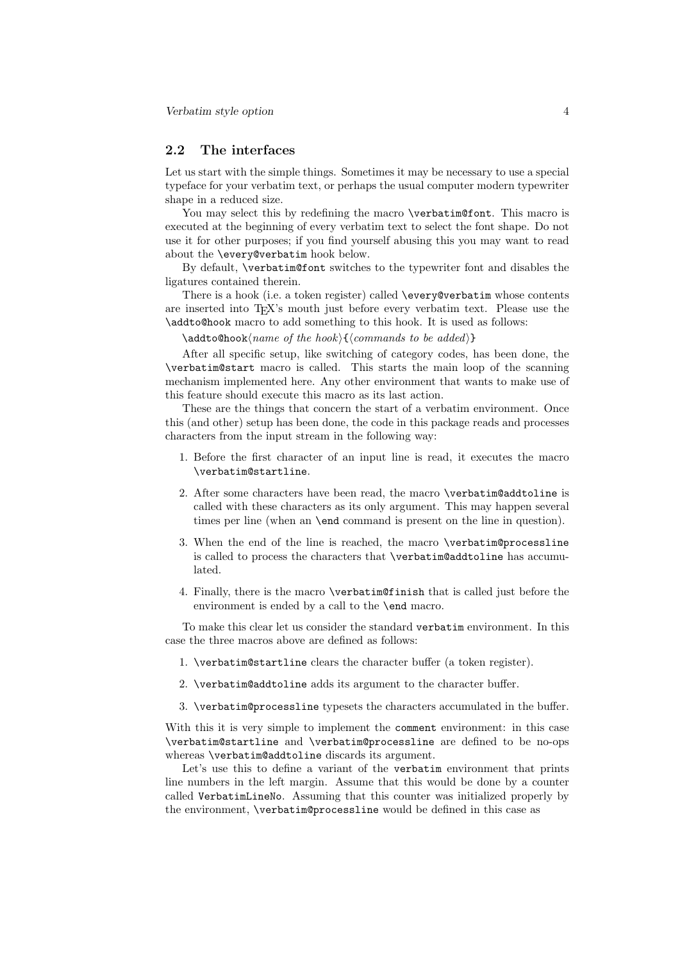### 2.2 The interfaces

Let us start with the simple things. Sometimes it may be necessary to use a special typeface for your verbatim text, or perhaps the usual computer modern typewriter shape in a reduced size.

You may select this by redefining the macro \verbatim@font. This macro is executed at the beginning of every verbatim text to select the font shape. Do not use it for other purposes; if you find yourself abusing this you may want to read about the \every@verbatim hook below.

By default, \verbatim@font switches to the typewriter font and disables the ligatures contained therein.

There is a hook (i.e. a token register) called **\every@verbatim** whose contents are inserted into TEX's mouth just before every verbatim text. Please use the \addto@hook macro to add something to this hook. It is used as follows:

 $\ad{to@hook|name of the hook}{(commands to be added)}$ 

After all specific setup, like switching of category codes, has been done, the \verbatim@start macro is called. This starts the main loop of the scanning mechanism implemented here. Any other environment that wants to make use of this feature should execute this macro as its last action.

These are the things that concern the start of a verbatim environment. Once this (and other) setup has been done, the code in this package reads and processes characters from the input stream in the following way:

- 1. Before the first character of an input line is read, it executes the macro \verbatim@startline.
- 2. After some characters have been read, the macro \verbatim@addtoline is called with these characters as its only argument. This may happen several times per line (when an \end command is present on the line in question).
- 3. When the end of the line is reached, the macro \verbatim@processline is called to process the characters that \verbatim@addtoline has accumulated.
- 4. Finally, there is the macro \verbatim@finish that is called just before the environment is ended by a call to the **\end** macro.

To make this clear let us consider the standard verbatim environment. In this case the three macros above are defined as follows:

- 1. \verbatim@startline clears the character buffer (a token register).
- 2. \verbatim@addtoline adds its argument to the character buffer.
- 3. \verbatim@processline typesets the characters accumulated in the buffer.

With this it is very simple to implement the comment environment: in this case \verbatim@startline and \verbatim@processline are defined to be no-ops whereas \verbatim@addtoline discards its argument.

Let's use this to define a variant of the verbatim environment that prints line numbers in the left margin. Assume that this would be done by a counter called VerbatimLineNo. Assuming that this counter was initialized properly by the environment, \verbatim@processline would be defined in this case as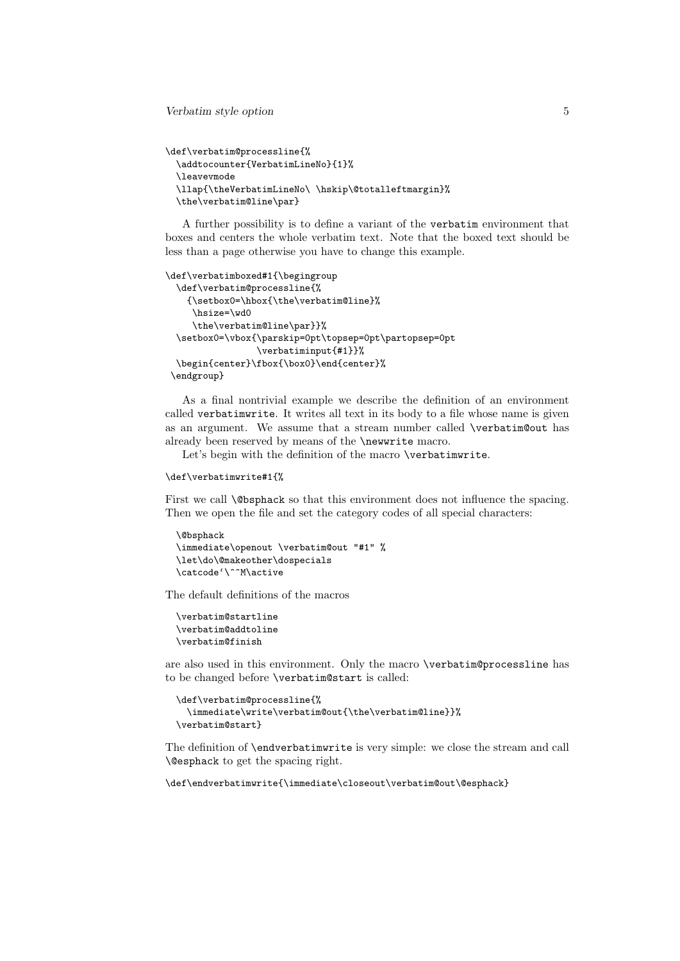Verbatim style option 5

```
\def\verbatim@processline{%
  \addtocounter{VerbatimLineNo}{1}%
 \leavevmode
 \llap{\theVerbatimLineNo\ \hskip\@totalleftmargin}%
 \the\verbatim@line\par}
```
A further possibility is to define a variant of the verbatim environment that boxes and centers the whole verbatim text. Note that the boxed text should be less than a page otherwise you have to change this example.

```
\def\verbatimboxed#1{\begingroup
 \def\verbatim@processline{%
    {\setbox0=\hbox{\the\verbatim@line}%
     \hsize=\wd0
     \the\verbatim@line\par}}%
 \setbox0=\vbox{\parskip=0pt\topsep=0pt\partopsep=0pt
                 \verbatiminput{#1}}%
 \begin{center}\fbox{\box0}\end{center}%
\endgroup}
```
As a final nontrivial example we describe the definition of an environment called verbatimwrite. It writes all text in its body to a file whose name is given as an argument. We assume that a stream number called \verbatim@out has already been reserved by means of the \newwrite macro.

Let's begin with the definition of the macro \verbatimwrite.

#### \def\verbatimwrite#1{%

First we call **\@bsphack** so that this environment does not influence the spacing. Then we open the file and set the category codes of all special characters:

```
\@bsphack
\immediate\openout \verbatim@out "#1" %
\let\do\@makeother\dospecials
\catcode'\^^M\active
```
The default definitions of the macros

```
\verbatim@startline
\verbatim@addtoline
\verbatim@finish
```
are also used in this environment. Only the macro \verbatim@processline has to be changed before \verbatim@start is called:

```
\def\verbatim@processline{%
 \immediate\write\verbatim@out{\the\verbatim@line}}%
\verbatim@start}
```
The definition of \endverbatimwrite is very simple: we close the stream and call \@esphack to get the spacing right.

```
\def\endverbatimwrite{\immediate\closeout\verbatim@out\@esphack}
```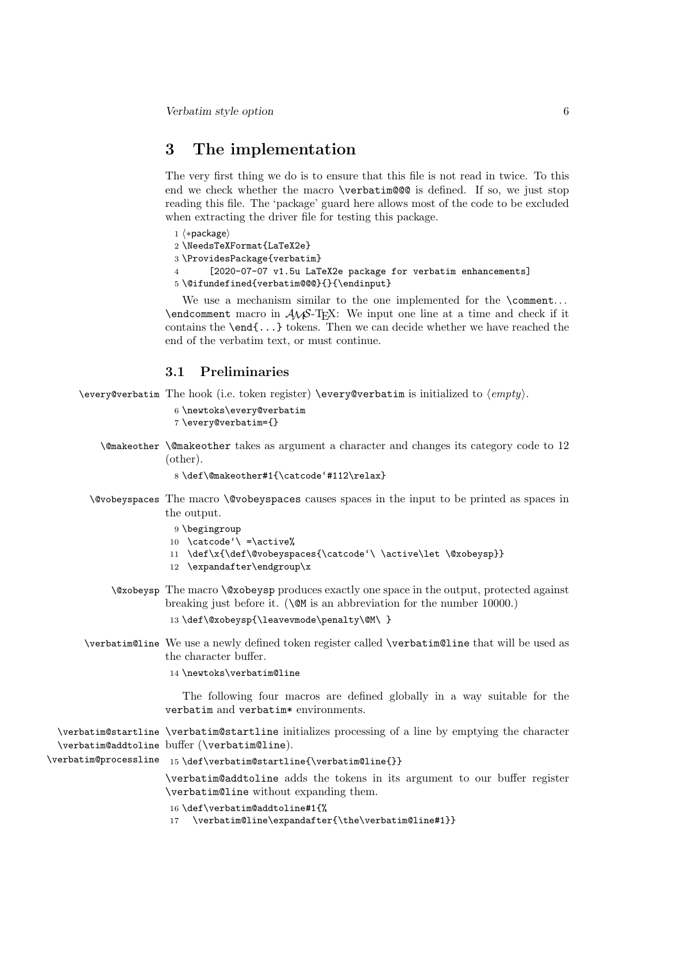# 3 The implementation

The very first thing we do is to ensure that this file is not read in twice. To this end we check whether the macro \verbatim@@@ is defined. If so, we just stop reading this file. The 'package' guard here allows most of the code to be excluded when extracting the driver file for testing this package.

```
1 ⟨∗package⟩
```

```
2 \NeedsTeXFormat{LaTeX2e}
```

```
3 \ProvidesPackage{verbatim}
```

```
4 [2020-07-07 v1.5u LaTeX2e package for verbatim enhancements]
```

```
5 \@ifundefined{verbatim@@@}{}{\endinput}
```
We use a mechanism similar to the one implemented for the **\comment.**..  $\end{math}$  comment macro in  $\mathcal{A}\mathcal{A}$ . We input one line at a time and check if it contains the \end{...} tokens. Then we can decide whether we have reached the end of the verbatim text, or must continue.

# 3.1 Preliminaries

\every@verbatim The hook (i.e. token register) \every@verbatim is initialized to ⟨empty⟩.

```
6 \newtoks\every@verbatim
7 \every@verbatim={}
```
\@makeother \@makeother takes as argument a character and changes its category code to 12 (other).

```
8 \def\@makeother#1{\catcode'#112\relax}
```
- \@vobeyspaces The macro \@vobeyspaces causes spaces in the input to be printed as spaces in the output.
	- 9 \begingroup
	- 10 \catcode'\ =\active%
	- 11 \def\x{\def\@vobeyspaces{\catcode'\ \active\let \@xobeysp}}
	- 12 \expandafter\endgroup\x
	- \@xobeysp The macro \@xobeysp produces exactly one space in the output, protected against breaking just before it. (\@M is an abbreviation for the number 10000.) 13 \def\@xobeysp{\leavevmode\penalty\@M\ }
- \verbatim@line We use a newly defined token register called \verbatim@line that will be used as the character buffer.

#### 14 \newtoks\verbatim@line

The following four macros are defined globally in a way suitable for the verbatim and verbatim\* environments.

\verbatim@startline \verbatim@startline initializes processing of a line by emptying the character \verbatim@addtoline buffer (\verbatim@line).

\verbatim@processline 15\def\verbatim@startline{\verbatim@line{}}

\verbatim@addtoline adds the tokens in its argument to our buffer register \verbatim@line without expanding them.

```
16 \def\verbatim@addtoline#1{%
```
17 \verbatim@line\expandafter{\the\verbatim@line#1}}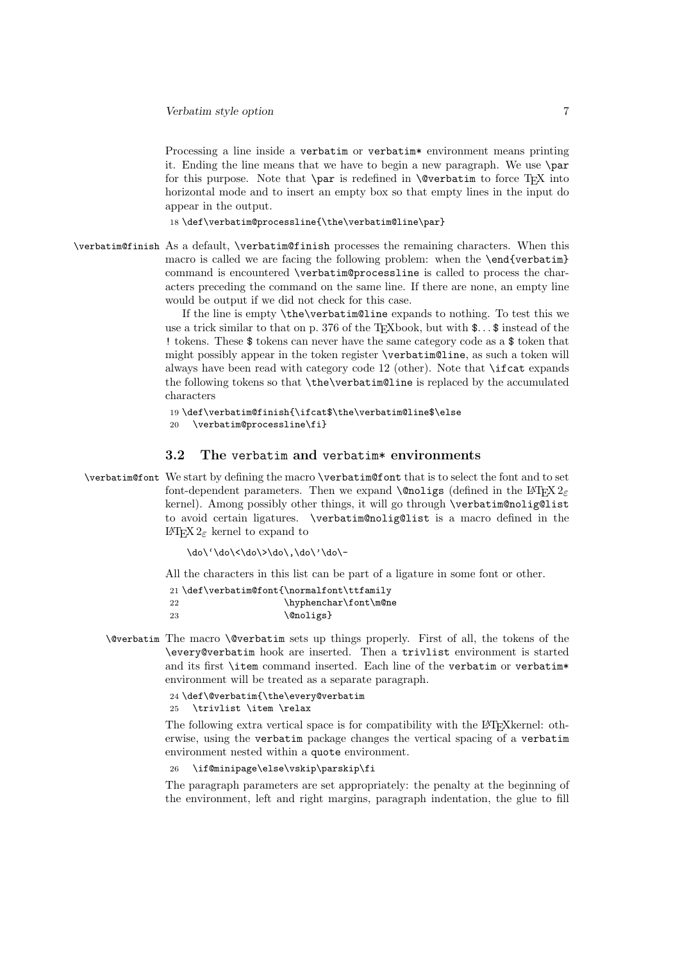Processing a line inside a verbatim or verbatim\* environment means printing it. Ending the line means that we have to begin a new paragraph. We use \par for this purpose. Note that  $\parrow$  is redefined in  $\mathcal{C}$  verbatim to force T<sub>E</sub>X into horizontal mode and to insert an empty box so that empty lines in the input do appear in the output.

18 \def\verbatim@processline{\the\verbatim@line\par}

\verbatim@finish As a default, \verbatim@finish processes the remaining characters. When this macro is called we are facing the following problem: when the **\end{verbatim}** command is encountered \verbatim@processline is called to process the characters preceding the command on the same line. If there are none, an empty line would be output if we did not check for this case.

> If the line is empty \the\verbatim@line expands to nothing. To test this we use a trick similar to that on p. 376 of the T<sub>E</sub>Xbook, but with  $\text{\$} \dots \text{\$}$  instead of the ! tokens. These \$ tokens can never have the same category code as a \$ token that might possibly appear in the token register \verbatim@line, as such a token will always have been read with category code 12 (other). Note that \ifcat expands the following tokens so that \the\verbatim@line is replaced by the accumulated characters

```
19 \def\verbatim@finish{\ifcat$\the\verbatim@line$\else
20 \verbatim@processline\fi}
```
## 3.2 The verbatim and verbatim\* environments

\verbatim@font We start by defining the macro \verbatim@font that is to select the font and to set font-dependent parameters. Then we expand **\@noligs** (defined in the L<sup>AT</sup>EX  $2\varepsilon$ kernel). Among possibly other things, it will go through \verbatim@nolig@list to avoid certain ligatures. \verbatim@nolig@list is a macro defined in the LATEX 2ε kernel to expand to

\do\'\do\<\do\>\do\,\do\'\do\-

All the characters in this list can be part of a ligature in some font or other.

```
21 \def\verbatim@font{\normalfont\ttfamily
22 \hyphenchar\font\m@ne
23 \@noligs}
```
\@verbatim The macro \@verbatim sets up things properly. First of all, the tokens of the \every@verbatim hook are inserted. Then a trivlist environment is started and its first **\item** command inserted. Each line of the verbatim or verbatim\* environment will be treated as a separate paragraph.

```
24 \def\@verbatim{\the\every@verbatim
```
25 \trivlist \item \relax

The following extra vertical space is for compatibility with the LATEXkernel: otherwise, using the verbatim package changes the vertical spacing of a verbatim environment nested within a quote environment.

26 \if@minipage\else\vskip\parskip\fi

The paragraph parameters are set appropriately: the penalty at the beginning of the environment, left and right margins, paragraph indentation, the glue to fill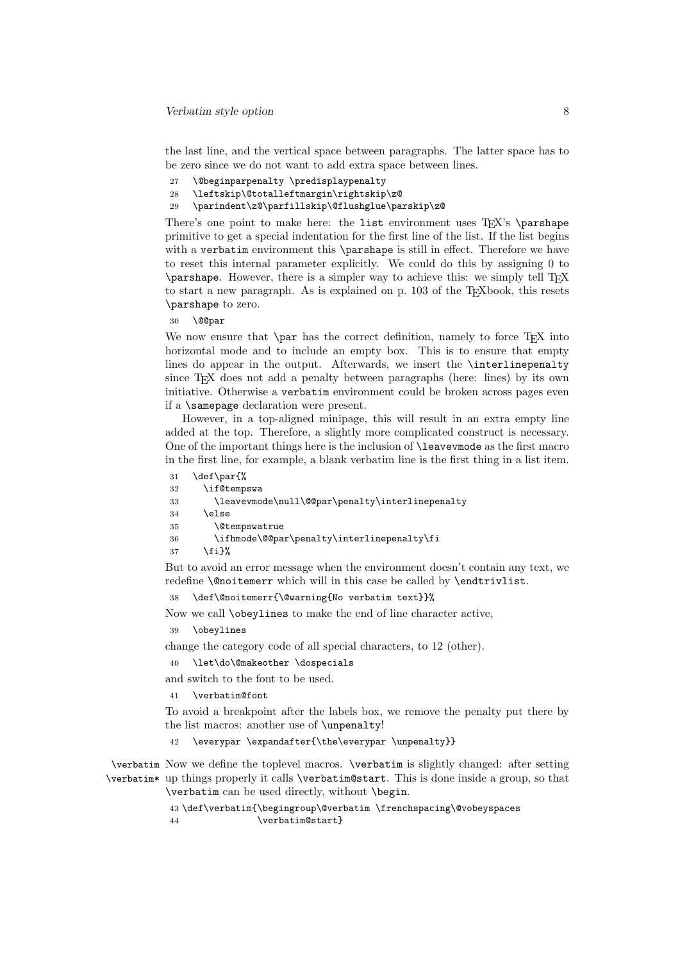the last line, and the vertical space between paragraphs. The latter space has to be zero since we do not want to add extra space between lines.

- 27 \@beginparpenalty \predisplaypenalty
- 28 \leftskip\@totalleftmargin\rightskip\z@
- 29 \parindent\z@\parfillskip\@flushglue\parskip\z@

There's one point to make here: the list environment uses  $T_F X$ 's \parshape primitive to get a special indentation for the first line of the list. If the list begins with a verbatim environment this **\parshape** is still in effect. Therefore we have to reset this internal parameter explicitly. We could do this by assigning 0 to \parshape. However, there is a simpler way to achieve this: we simply tell TEX to start a new paragraph. As is explained on p. 103 of the T<sub>E</sub>Xbook, this resets \parshape to zero.

30 \@@par

We now ensure that  $\parrow$  has the correct definition, namely to force T<sub>E</sub>X into horizontal mode and to include an empty box. This is to ensure that empty lines do appear in the output. Afterwards, we insert the \interlinepenalty since T<sub>EX</sub> does not add a penalty between paragraphs (here: lines) by its own initiative. Otherwise a verbatim environment could be broken across pages even if a \samepage declaration were present.

However, in a top-aligned minipage, this will result in an extra empty line added at the top. Therefore, a slightly more complicated construct is necessary. One of the important things here is the inclusion of \leavevmode as the first macro in the first line, for example, a blank verbatim line is the first thing in a list item.

31 \def\par{% 32 \if@tempswa

```
33 \leavevmode\null\@@par\penalty\interlinepenalty
```
 $34$  \else

```
35 \@tempswatrue
```

```
36 \ifhmode\@@par\penalty\interlinepenalty\fi
```
 $37$  \fi}%

But to avoid an error message when the environment doesn't contain any text, we redefine \@noitemerr which will in this case be called by \endtrivlist.

38 \def\@noitemerr{\@warning{No verbatim text}}%

Now we call \obeylines to make the end of line character active,

39 \obeylines

change the category code of all special characters, to 12 (other).

40 \let\do\@makeother \dospecials

and switch to the font to be used.

41 \verbatim@font

To avoid a breakpoint after the labels box, we remove the penalty put there by the list macros: another use of \unpenalty!

\everypar \expandafter{\the\everypar \unpenalty}}

\verbatim Now we define the toplevel macros. \verbatim is slightly changed: after setting \verbatim\* up things properly it calls \verbatim@start. This is done inside a group, so that \verbatim can be used directly, without \begin.

```
43 \def\verbatim{\begingroup\@verbatim \frenchspacing\@vobeyspaces
44 \verbatim@start}
```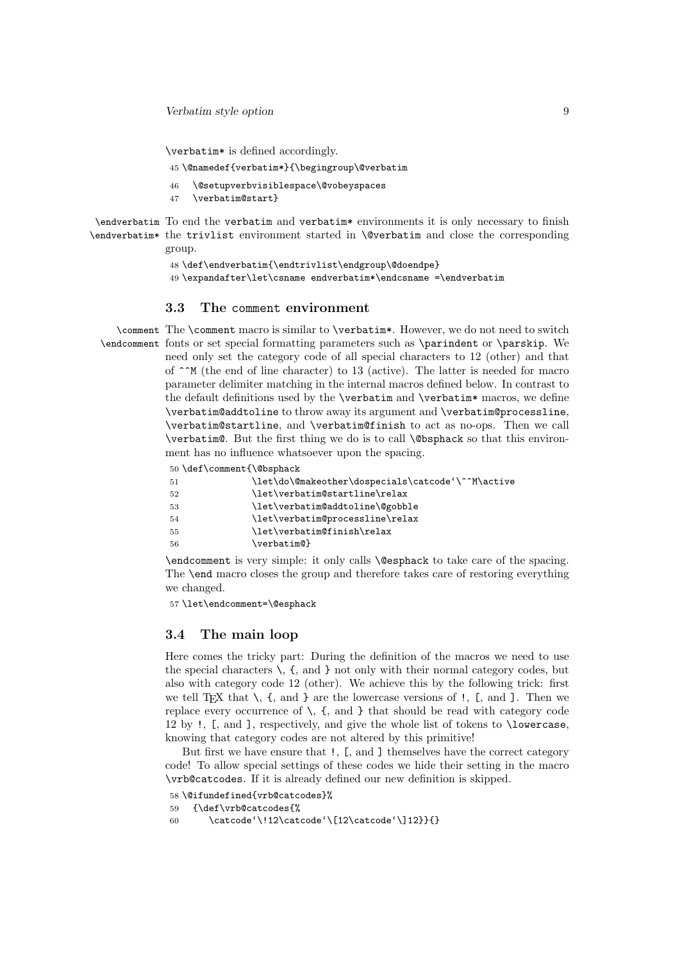\verbatim\* is defined accordingly.

- 45 \@namedef{verbatim\*}{\begingroup\@verbatim
- 46 \@setupverbvisiblespace\@vobeyspaces
- 47 \verbatim@start}

\endverbatim To end the verbatim and verbatim\* environments it is only necessary to finish \endverbatim\* the trivlist environment started in \@verbatim and close the corresponding group.

```
48 \def\endverbatim{\endtrivlist\endgroup\@doendpe}
```
49 \expandafter\let\csname endverbatim\*\endcsname =\endverbatim

### 3.3 The comment environment

\comment The \comment macro is similar to \verbatim\*. However, we do not need to switch \endcomment fonts or set special formatting parameters such as \parindent or \parskip. We need only set the category code of all special characters to 12 (other) and that of  $\hat{\ }$ M (the end of line character) to 13 (active). The latter is needed for macro parameter delimiter matching in the internal macros defined below. In contrast to the default definitions used by the \verbatim and \verbatim\* macros, we define \verbatim@addtoline to throw away its argument and \verbatim@processline, \verbatim@startline, and \verbatim@finish to act as no-ops. Then we call \verbatim@. But the first thing we do is to call \@bsphack so that this environment has no influence whatsoever upon the spacing.

```
50 \def\comment{\@bsphack
```

```
51 \let\do\@makeother\dospecials\catcode'\^^M\active
52 \let\verbatim@startline\relax
53 \let\verbatim@addtoline\@gobble
54 \let\verbatim@processline\relax
55 \let\verbatim@finish\relax
56 \verbatim@}
```
\endcomment is very simple: it only calls \@esphack to take care of the spacing. The \end macro closes the group and therefore takes care of restoring everything we changed.

57 \let\endcomment=\@esphack

#### 3.4 The main loop

Here comes the tricky part: During the definition of the macros we need to use the special characters  $\setminus$ ,  $\{$ , and  $\}$  not only with their normal category codes, but also with category code 12 (other). We achieve this by the following trick: first we tell T<sub>E</sub>X that  $\setminus$ ,  $\{$ , and  $\}$  are the lowercase versions of  $\cdot$ ,  $\{$ , and  $\}$ . Then we replace every occurrence of  $\setminus$ ,  $\{$ , and  $\}$  that should be read with category code 12 by !, [, and ], respectively, and give the whole list of tokens to \lowercase, knowing that category codes are not altered by this primitive!

But first we have ensure that !, [, and ] themselves have the correct category code! To allow special settings of these codes we hide their setting in the macro \vrb@catcodes. If it is already defined our new definition is skipped.

```
58 \@ifundefined{vrb@catcodes}%
```

```
59 {\def\vrb@catcodes{%
```
60 \catcode'\!12\catcode'\[12\catcode'\]12}}{}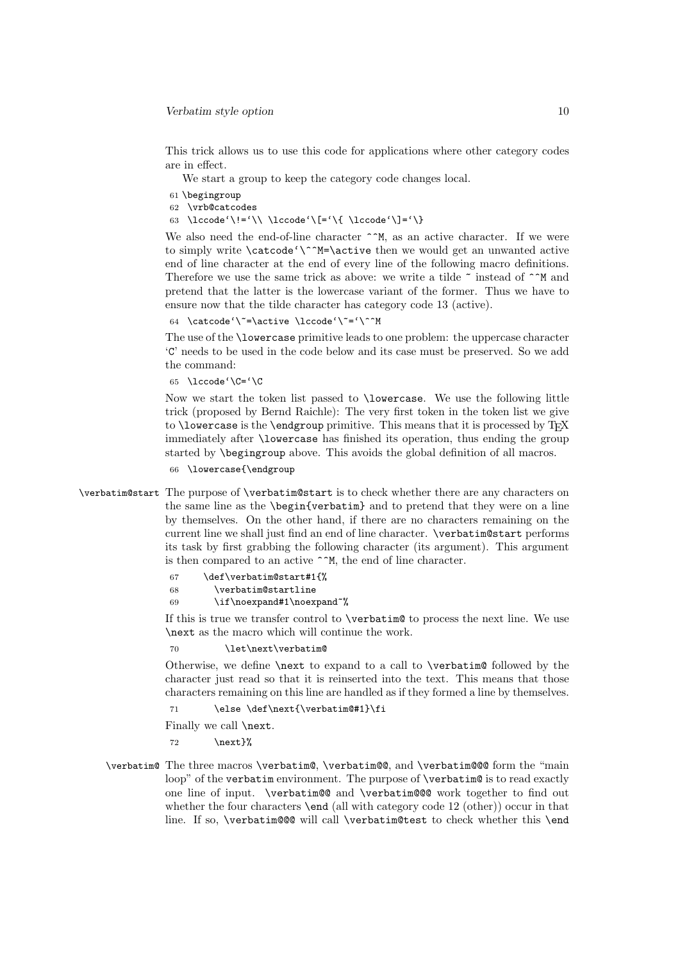This trick allows us to use this code for applications where other category codes are in effect.

We start a group to keep the category code changes local.

- 61 \begingroup
- 62 \vrb@catcodes
- 63 \lccode'\!='\\ \lccode'\[='\{ \lccode'\]='\}

We also need the end-of-line character  $\hat{\ }^{\ast}$ M, as an active character. If we were to simply write \catcode'\^^M=\active then we would get an unwanted active end of line character at the end of every line of the following macro definitions. Therefore we use the same trick as above: we write a tilde  $\tilde{\ }$  instead of  $\tilde{\ }$  and pretend that the latter is the lowercase variant of the former. Thus we have to ensure now that the tilde character has category code 13 (active).

64 \catcode'\~=\active \lccode'\~='\^^M

The use of the \lowercase primitive leads to one problem: the uppercase character 'C' needs to be used in the code below and its case must be preserved. So we add the command:

65 \lccode'\C='\C

Now we start the token list passed to \lowercase. We use the following little trick (proposed by Bernd Raichle): The very first token in the token list we give to  $\Omega$  to  $\Omega$  is the  $\Theta$  and  $\Omega$  primitive. This means that it is processed by TFX immediately after \lowercase has finished its operation, thus ending the group started by \begingroup above. This avoids the global definition of all macros.

66 \lowercase{\endgroup

\verbatim@start The purpose of \verbatim@start is to check whether there are any characters on the same line as the \begin{verbatim} and to pretend that they were on a line by themselves. On the other hand, if there are no characters remaining on the current line we shall just find an end of line character. \verbatim@start performs its task by first grabbing the following character (its argument). This argument is then compared to an active ^^M, the end of line character.

67 \def\verbatim@start#1{%

- 68 \verbatim@startline
- 69 \if\noexpand#1\noexpand~%

If this is true we transfer control to \verbatim@ to process the next line. We use \next as the macro which will continue the work.

70 \let\next\verbatim@

Otherwise, we define \next to expand to a call to \verbatim@ followed by the character just read so that it is reinserted into the text. This means that those characters remaining on this line are handled as if they formed a line by themselves.

71 \else \def\next{\verbatim@#1}\fi

Finally we call \next.

72 \next}%

\verbatim@ The three macros \verbatim@, \verbatim@@, and \verbatim@@@ form the "main loop" of the verbatim environment. The purpose of \verbatim@ is to read exactly one line of input. \verbatim@@ and \verbatim@@@ work together to find out whether the four characters **\end** (all with category code 12 (other)) occur in that line. If so, \verbatim@@@ will call \verbatim@test to check whether this \end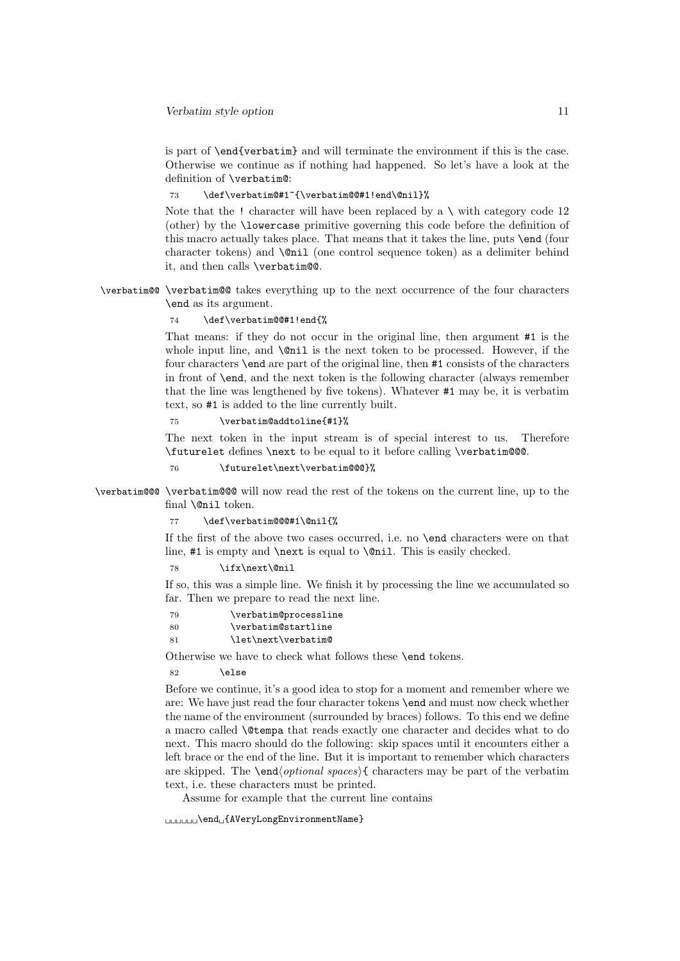is part of \end{verbatim} and will terminate the environment if this is the case. Otherwise we continue as if nothing had happened. So let's have a look at the definition of \verbatim@:

73 \def\verbatim@#1~{\verbatim@@#1!end\@nil}%

Note that the ! character will have been replaced by a  $\setminus$  with category code 12 (other) by the \lowercase primitive governing this code before the definition of this macro actually takes place. That means that it takes the line, puts \end (four character tokens) and \@nil (one control sequence token) as a delimiter behind it, and then calls \verbatim@@.

\verbatim@@ \verbatim@@ takes everything up to the next occurrence of the four characters \end as its argument.

\def\verbatim@@#1!end{%

That means: if they do not occur in the original line, then argument #1 is the whole input line, and  $\,\$ 0\,il is the next token to be processed. However, if the four characters \end are part of the original line, then #1 consists of the characters in front of \end, and the next token is the following character (always remember that the line was lengthened by five tokens). Whatever #1 may be, it is verbatim text, so #1 is added to the line currently built.

75 \verbatim@addtoline{#1}%

The next token in the input stream is of special interest to us. Therefore \futurelet defines \next to be equal to it before calling \verbatim@@@.

76 \futurelet\next\verbatim@@@}%

\verbatim@@@ \verbatim@@@ will now read the rest of the tokens on the current line, up to the final \@nil token.

77 \def\verbatim@@@#1\@nil{%

If the first of the above two cases occurred, i.e. no \end characters were on that line, #1 is empty and **\next** is equal to **\@nil**. This is easily checked.

78 \ifx\next\@nil

If so, this was a simple line. We finish it by processing the line we accumulated so far. Then we prepare to read the next line.

79 \verbatim@processline 80 \verbatim@startline 81 \let\next\verbatim@

Otherwise we have to check what follows these \end tokens.

82 \else

Before we continue, it's a good idea to stop for a moment and remember where we are: We have just read the four character tokens \end and must now check whether the name of the environment (surrounded by braces) follows. To this end we define a macro called \@tempa that reads exactly one character and decides what to do next. This macro should do the following: skip spaces until it encounters either a left brace or the end of the line. But it is important to remember which characters are skipped. The \end⟨optional spaces⟩{ characters may be part of the verbatim text, i.e. these characters must be printed.

Assume for example that the current line contains

␣␣␣␣␣␣\end␣{AVeryLongEnvironmentName}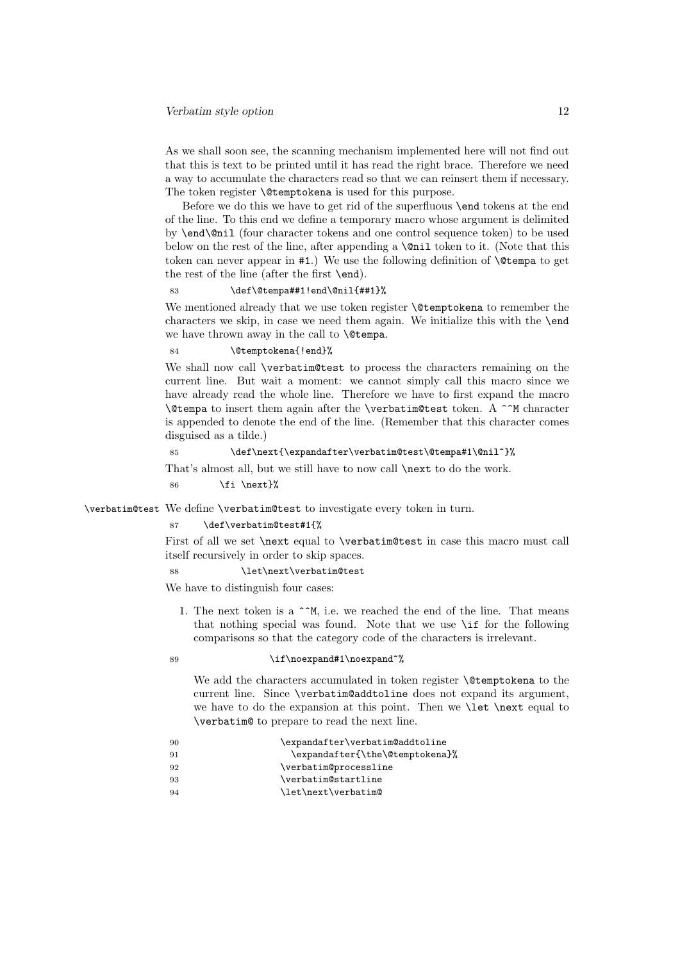As we shall soon see, the scanning mechanism implemented here will not find out that this is text to be printed until it has read the right brace. Therefore we need a way to accumulate the characters read so that we can reinsert them if necessary. The token register **\@temptokena** is used for this purpose.

Before we do this we have to get rid of the superfluous \end tokens at the end of the line. To this end we define a temporary macro whose argument is delimited by \end\@nil (four character tokens and one control sequence token) to be used below on the rest of the line, after appending a  $\mathcal{C}$  and token to it. (Note that this token can never appear in #1.) We use the following definition of \@tempa to get the rest of the line (after the first \end).

#### 83 \def\@tempa##1!end\@nil{##1}%

We mentioned already that we use token register **\@temptokena** to remember the characters we skip, in case we need them again. We initialize this with the \end we have thrown away in the call to \@tempa.

#### 84 \@temptokena{!end}%

We shall now call \verbatim@test to process the characters remaining on the current line. But wait a moment: we cannot simply call this macro since we have already read the whole line. Therefore we have to first expand the macro \@tempa to insert them again after the \verbatim@test token. A ^^M character is appended to denote the end of the line. (Remember that this character comes disguised as a tilde.)

### 85 \def\next{\expandafter\verbatim@test\@tempa#1\@nil~}%

That's almost all, but we still have to now call \next to do the work.

86  $\{f_i \neq \}$ %

\verbatim@test We define \verbatim@test to investigate every token in turn.

#### 87 \def\verbatim@test#1{%

First of all we set \next equal to \verbatim@test in case this macro must call itself recursively in order to skip spaces.

#### 88 \let\next\verbatim@test

We have to distinguish four cases:

1. The next token is a  $\hat{}$   $\hat{}$ M, i.e. we reached the end of the line. That means that nothing special was found. Note that we use \if for the following comparisons so that the category code of the characters is irrelevant.

#### 89 \if\noexpand#1\noexpand~%

We add the characters accumulated in token register **\@temptokena** to the current line. Since \verbatim@addtoline does not expand its argument, we have to do the expansion at this point. Then we \let \next equal to \verbatim@ to prepare to read the next line.

| -90 | \expandafter\verbatim@addtoline |
|-----|---------------------------------|
| 91  | \expandafter{\the\@temptokena}% |
| 92  | \verbatim@processline           |
| 93  | \verbatim@startline             |
| 94  | \let\next\verbatim@             |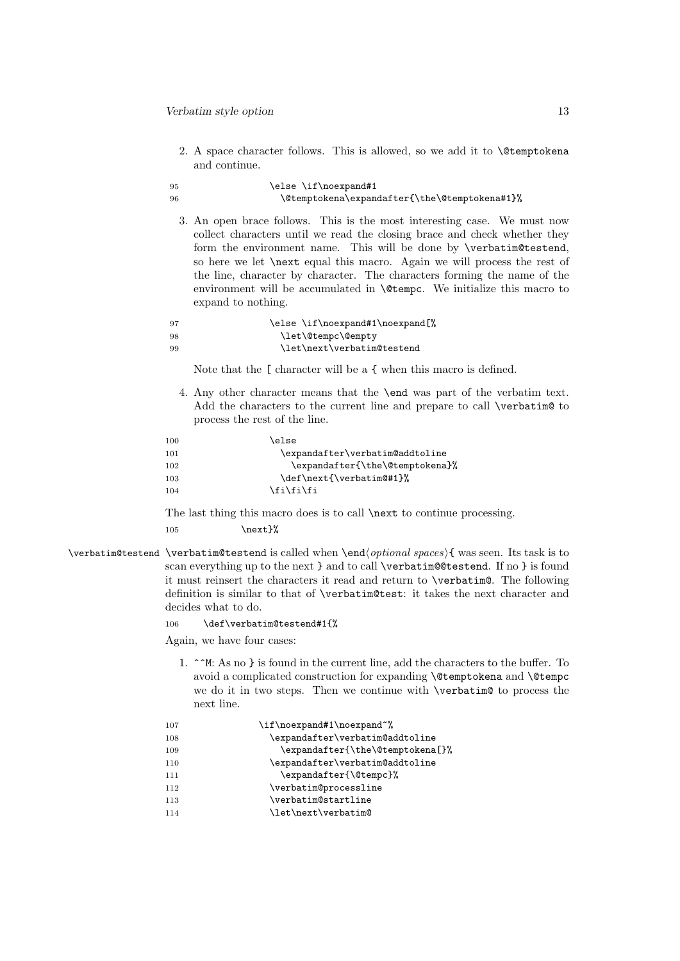2. A space character follows. This is allowed, so we add it to \@temptokena and continue.

#### 95 \else \if\noexpand#1 96 \@temptokena\expandafter{\the\@temptokena#1}%

3. An open brace follows. This is the most interesting case. We must now collect characters until we read the closing brace and check whether they form the environment name. This will be done by \verbatim@testend, so here we let \next equal this macro. Again we will process the rest of the line, character by character. The characters forming the name of the environment will be accumulated in \@tempc. We initialize this macro to expand to nothing.

| - 97 | \else \if\noexpand#1\noexpand[%] |
|------|----------------------------------|
| -98  | \let\@tempc\@empty               |
| -99  | \let\next\verbatim@testend       |

Note that the [ character will be a { when this macro is defined.

4. Any other character means that the \end was part of the verbatim text. Add the characters to the current line and prepare to call \verbatim@ to process the rest of the line.

| 100 | else\                           |
|-----|---------------------------------|
| 101 | \expandafter\verbatim@addtoline |
| 102 | \expandafter{\the\@temptokena}% |
| 103 | \def\next{\verbatim@#1}%        |
| 104 | \fi\fi\fi                       |
|     |                                 |

The last thing this macro does is to call \next to continue processing. 105 \next }%

\verbatim@testend \verbatim@testend is called when \end⟨optional spaces⟩{ was seen. Its task is to scan everything up to the next } and to call \verbatim@@testend. If no } is found it must reinsert the characters it read and return to \verbatim@. The following definition is similar to that of \verbatim@test: it takes the next character and decides what to do.

106 \def\verbatim@testend#1{%

Again, we have four cases:

1. ^^M: As no } is found in the current line, add the characters to the buffer. To avoid a complicated construction for expanding \@temptokena and \@tempc we do it in two steps. Then we continue with \verbatim@ to process the next line.

| 107 | \if\noexpand#1\noexpand~%        |
|-----|----------------------------------|
| 108 | \expandafter\verbatim@addtoline  |
| 109 | \expandafter{\the\@temptokena[}% |
| 110 | \expandafter\verbatim@addtoline  |
| 111 | \expandafter{\@tempc}%           |
| 112 | \verbatim@processline            |
| 113 | \verbatim@startline              |
| 114 | \let\next\verbatim@              |
|     |                                  |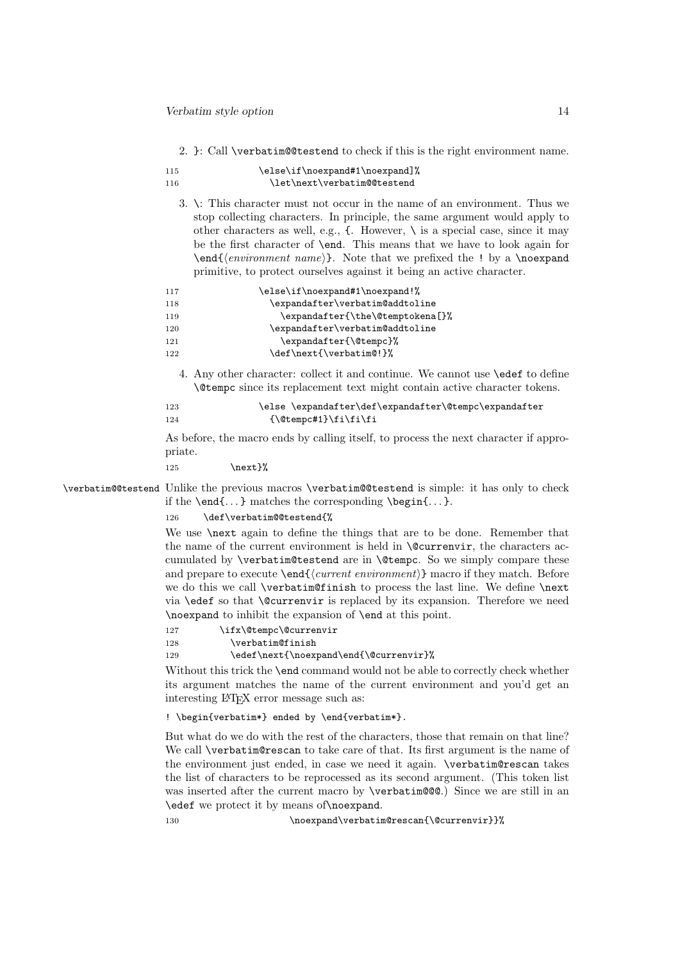2. }: Call \verbatim@@testend to check if this is the right environment name.

| 115  | \else\if\noexpand#1\noexpand]% |
|------|--------------------------------|
| -116 | \let\next\verbatim@@testend    |

3. \: This character must not occur in the name of an environment. Thus we stop collecting characters. In principle, the same argument would apply to other characters as well, e.g.,  $\{$ . However,  $\setminus$  is a special case, since it may be the first character of \end. This means that we have to look again for \end{⟨environment name⟩}. Note that we prefixed the ! by a \noexpand primitive, to protect ourselves against it being an active character.

| \expandafter\verbatim@addtoline<br>118<br>119<br>\expandafter\verbatim@addtoline<br>120<br>\expandafter{\@tempc}%<br>121<br>\def\next{\verbatim@!}%<br>122 | 117 | \else\if\noexpand#1\noexpand!%   |
|------------------------------------------------------------------------------------------------------------------------------------------------------------|-----|----------------------------------|
|                                                                                                                                                            |     |                                  |
|                                                                                                                                                            |     | \expandafter{\the\@temptokena[}% |
|                                                                                                                                                            |     |                                  |
|                                                                                                                                                            |     |                                  |
|                                                                                                                                                            |     |                                  |

4. Any other character: collect it and continue. We cannot use \edef to define \@tempc since its replacement text might contain active character tokens.

123 \else \expandafter\def\expandafter\@tempc\expandafter 124 {\@tempc#1}\fi\fi\fi

As before, the macro ends by calling itself, to process the next character if appropriate.

125 \next}%

\verbatim@@testend Unlike the previous macros \verbatim@@testend is simple: it has only to check if the  $\end{math}$ ... } matches the corresponding  $\begin{bmatrix} \cdot & \cdot \\ \cdot & \cdot \end{bmatrix}$ .

126 \def\verbatim@@testend{%

We use **\next** again to define the things that are to be done. Remember that the name of the current environment is held in \@currenvir, the characters accumulated by \verbatim@testend are in \@tempc. So we simply compare these and prepare to execute  $\end{math}$   $\text{card}\{\text{current environment}\}\$  macro if they match. Before we do this we call **\verbatim@finish** to process the last line. We define **\next** via \edef so that \@currenvir is replaced by its expansion. Therefore we need \noexpand to inhibit the expansion of \end at this point.

127 \ifx\@tempc\@currenvir

128 \verbatim@finish

129 \edef\next{\noexpand\end{\@currenvir}%

Without this trick the \end command would not be able to correctly check whether its argument matches the name of the current environment and you'd get an interesting LAT<sub>E</sub>X error message such as:

! \begin{verbatim\*} ended by \end{verbatim\*}.

But what do we do with the rest of the characters, those that remain on that line? We call \verbatim@rescan to take care of that. Its first argument is the name of the environment just ended, in case we need it again. \verbatim@rescan takes the list of characters to be reprocessed as its second argument. (This token list was inserted after the current macro by **\verbatim@@@**.) Since we are still in an \edef we protect it by means of\noexpand.

130 \noexpand\verbatim@rescan{\@currenvir}}%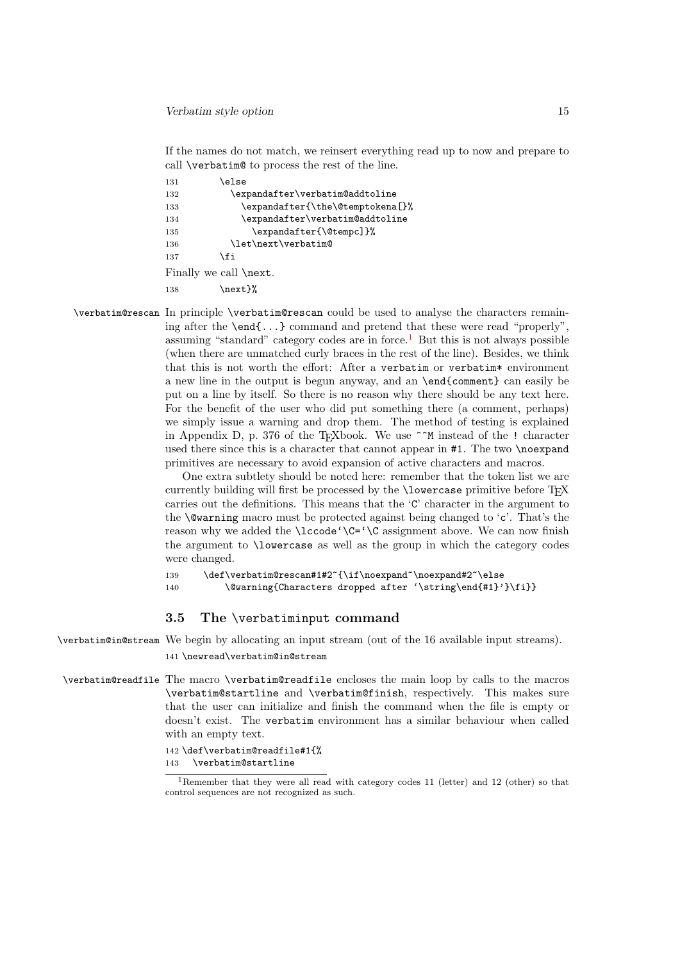If the names do not match, we reinsert everything read up to now and prepare to call \verbatim@ to process the rest of the line.

| 131 | else\                            |
|-----|----------------------------------|
| 132 | \expandafter\verbatim@addtoline  |
| 133 | \expandafter{\the\@temptokena[}% |
| 134 | \expandafter\verbatim@addtoline  |
| 135 | \expandafter{\@tempc]}%          |
| 136 | \let\next\verbatim@              |
| 137 | \fi                              |
|     | Finally we call <b>\next</b> .   |
| 138 | \next }%                         |

\verbatim@rescan In principle \verbatim@rescan could be used to analyse the characters remaining after the \end{...} command and pretend that these were read "properly", assuming "standard" category codes are in force.<sup>[1](#page-14-0)</sup> But this is not always possible (when there are unmatched curly braces in the rest of the line). Besides, we think that this is not worth the effort: After a verbatim or verbatim\* environment a new line in the output is begun anyway, and an \end{comment} can easily be put on a line by itself. So there is no reason why there should be any text here. For the benefit of the user who did put something there (a comment, perhaps) we simply issue a warning and drop them. The method of testing is explained in Appendix D, p. 376 of the TEXbook. We use ^^M instead of the ! character used there since this is a character that cannot appear in #1. The two \noexpand primitives are necessary to avoid expansion of active characters and macros.

> One extra subtlety should be noted here: remember that the token list we are currently building will first be processed by the **\lowercase** primitive before T<sub>E</sub>X carries out the definitions. This means that the 'C' character in the argument to the  $\&$ warning macro must be protected against being changed to 'c'. That's the reason why we added the \lccode'\C='\C assignment above. We can now finish the argument to \lowercase as well as the group in which the category codes were changed.

```
139 \def\verbatim@rescan#1#2~{\if\noexpand~\noexpand#2~\else
140 \@warning{Characters dropped after '\string\end{#1}'}\fi}}
```
### 3.5 The \verbatiminput command

\verbatim@in@stream We begin by allocating an input stream (out of the 16 available input streams). 141 \newread\verbatim@in@stream

\verbatim@readfile The macro \verbatim@readfile encloses the main loop by calls to the macros \verbatim@startline and \verbatim@finish, respectively. This makes sure that the user can initialize and finish the command when the file is empty or doesn't exist. The verbatim environment has a similar behaviour when called with an empty text.

> 142 \def\verbatim@readfile#1{% 143 \verbatim@startline

<span id="page-14-0"></span><sup>1</sup>Remember that they were all read with category codes 11 (letter) and 12 (other) so that control sequences are not recognized as such.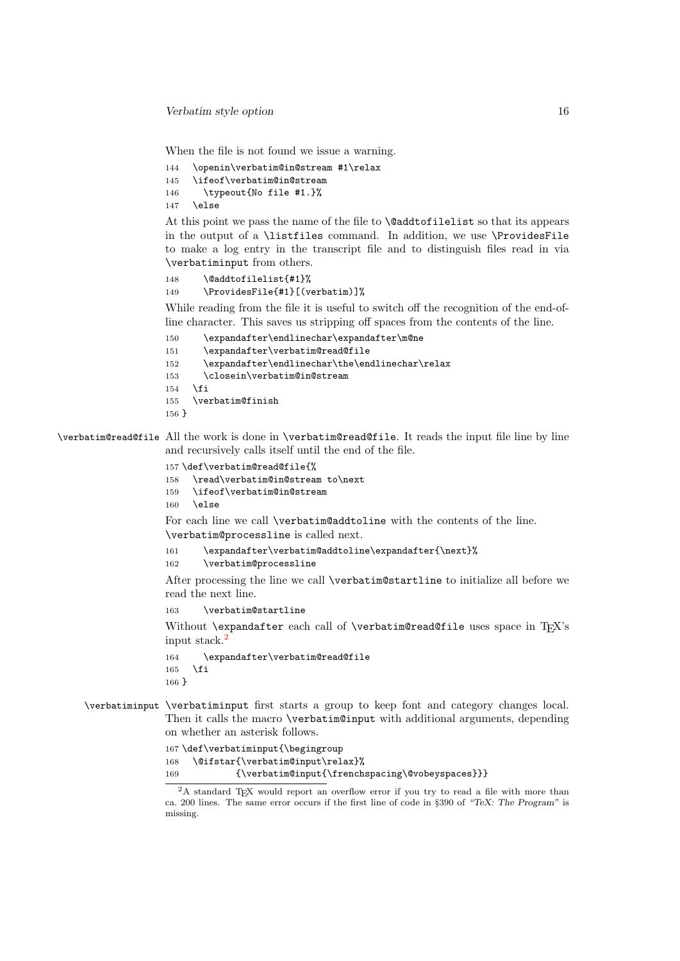When the file is not found we issue a warning.

```
144 \openin\verbatim@in@stream #1\relax<br>145 \ifeof\verbatim@in@stream
      \ifeof\verbatim@in@stream
146 \typeout{No file #1.}%
```
147 \else

At this point we pass the name of the file to \@addtofilelist so that its appears in the output of a \listfiles command. In addition, we use \ProvidesFile to make a log entry in the transcript file and to distinguish files read in via \verbatiminput from others.

```
148 \@addtofilelist{#1}%
149 \ProvidesFile{#1}[(verbatim)]%
```
While reading from the file it is useful to switch off the recognition of the end-ofline character. This saves us stripping off spaces from the contents of the line.

```
150 \expandafter\endlinechar\expandafter\m@ne
151 \expandafter\verbatim@read@file
152 \expandafter\endlinechar\the\endlinechar\relax
153 \closein\verbatim@in@stream
154 \fi
155 \verbatim@finish
156 }
```
\verbatim@read@file All the work is done in \verbatim@read@file. It reads the input file line by line and recursively calls itself until the end of the file.

```
157 \def\verbatim@read@file{%
158 \read\verbatim@in@stream to\next
159 \ifeof\verbatim@in@stream
160 \else
```
For each line we call \verbatim@addtoline with the contents of the line. \verbatim@processline is called next.

```
161 \expandafter\verbatim@addtoline\expandafter{\next}%
```
162 \verbatim@processline

After processing the line we call \verbatim@startline to initialize all before we read the next line.

```
163 \verbatim@startline
```
Without \expandafter each call of \verbatim@read@file uses space in  $T_F X$ 's input stack.[2](#page-15-0)

```
164 \expandafter\verbatim@read@file
165 \fi
166 }
```
\verbatiminput \verbatiminput first starts a group to keep font and category changes local. Then it calls the macro \verbatim@input with additional arguments, depending on whether an asterisk follows.

```
167 \def\verbatiminput{\begingroup
168 \@ifstar{\verbatim@input\relax}%
169 {\verbatim@input{\frenchspacing\@vobeyspaces}}}
```
<span id="page-15-0"></span><sup>&</sup>lt;sup>2</sup>A standard TEX would report an overflow error if you try to read a file with more than ca. 200 lines. The same error occurs if the first line of code in §390 of "TeX: The Program" is missing.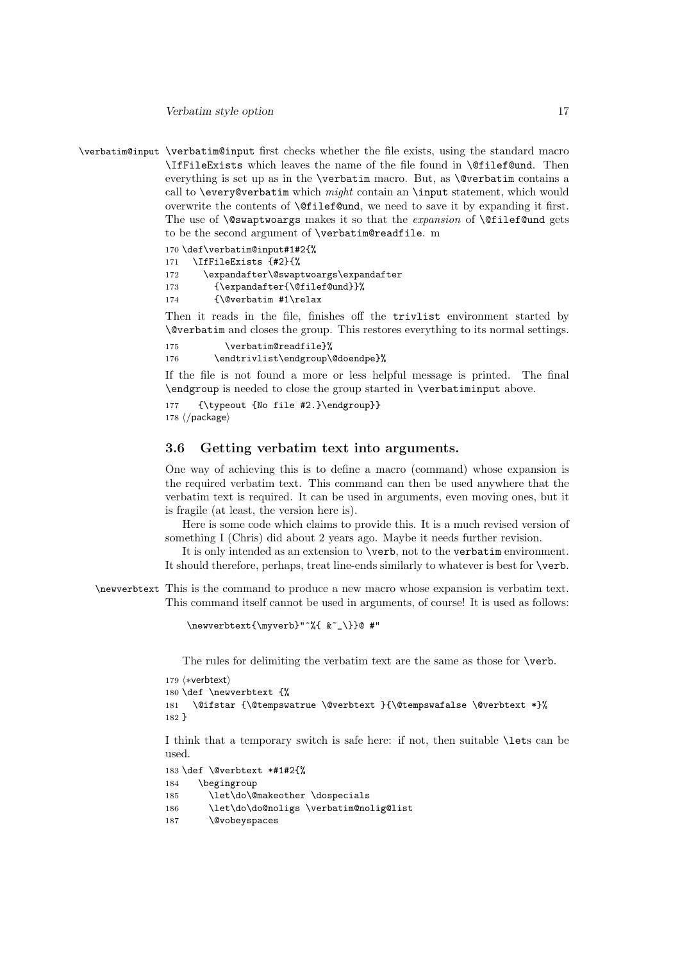Verbatim style option 17

\verbatim@input \verbatim@input first checks whether the file exists, using the standard macro \IfFileExists which leaves the name of the file found in \@filef@und. Then everything is set up as in the **\verbatim** macro. But, as **\@verbatim** contains a call to  $\text{every}$  every@verbatim which  $might$  contain an  $\input$  statement, which would overwrite the contents of \@filef@und, we need to save it by expanding it first. The use of  $\Diamond$ swaptwoargs makes it so that the *expansion* of  $\Diamond$ filef@und gets to be the second argument of \verbatim@readfile. m

```
170 \def\verbatim@input#1#2{%
```

```
171 \IfFileExists {#2}{%
```
172 \expandafter\@swaptwoargs\expandafter 173 {\expandafter{\@filef@und}}%  $174$  {\@verbatim #1\relax

Then it reads in the file, finishes off the trivlist environment started by \@verbatim and closes the group. This restores everything to its normal settings.

```
175 \verbatim@readfile}%
176 \endtrivlist\endgroup\@doendpe}%
```
If the file is not found a more or less helpful message is printed. The final \endgroup is needed to close the group started in \verbatiminput above.

```
177 {\typeout {No file #2.}\endgroup}}
178 ⟨/package⟩
```
# 3.6 Getting verbatim text into arguments.

One way of achieving this is to define a macro (command) whose expansion is the required verbatim text. This command can then be used anywhere that the verbatim text is required. It can be used in arguments, even moving ones, but it is fragile (at least, the version here is).

Here is some code which claims to provide this. It is a much revised version of something I (Chris) did about 2 years ago. Maybe it needs further revision.

It is only intended as an extension to \verb, not to the verbatim environment. It should therefore, perhaps, treat line-ends similarly to whatever is best for \verb.

\newverbtext This is the command to produce a new macro whose expansion is verbatim text. This command itself cannot be used in arguments, of course! It is used as follows:

```
\newverbtext{\myverb}"^%{ &~_\}}@ #"
```
The rules for delimiting the verbatim text are the same as those for \verb.

```
179 ⟨∗verbtext⟩
180 \def \newverbtext {%
181 \@ifstar {\@tempswatrue \@verbtext }{\@tempswafalse \@verbtext *}%
182 }
```
I think that a temporary switch is safe here: if not, then suitable \lets can be used.

```
183 \def \@verbtext *#1#2{%
184 \begingroup
185 \let\do\@makeother \dospecials
186 \let\do\do@noligs \verbatim@nolig@list
187 \@vobeyspaces
```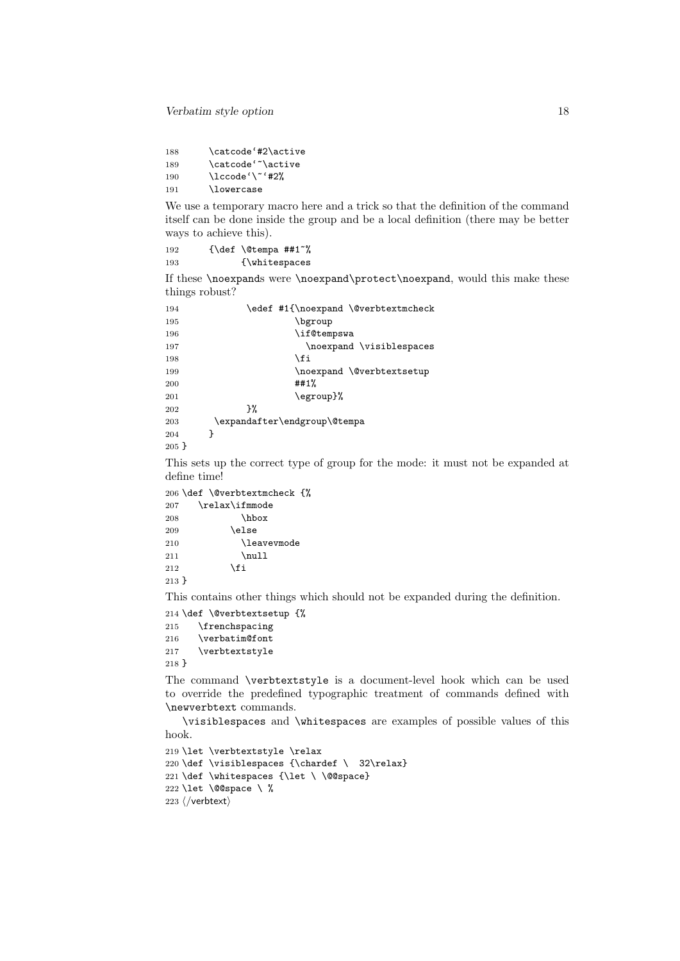188 \catcode'#2\active 189 \catcode'<sup>~</sup>\active 190  $\lvert \text{100} \rvert \lvert \text{1100} \rvert$ 191 \lowercase

We use a temporary macro here and a trick so that the definition of the command itself can be done inside the group and be a local definition (there may be better ways to achieve this).

192 {\def \@tempa ##1<sup>~%</sup> 193 {\whitespaces

If these \noexpands were \noexpand\protect\noexpand, would this make these things robust?

| 194      | \edef #1{\noexpand \@verbtextmcheck |
|----------|-------------------------------------|
| 195      | \bgroup                             |
| 196      | \if@tempswa                         |
| 197      | \noexpand \visiblespaces            |
| 198      | \fi                                 |
| 199      | \noexpand \@verbtextsetup           |
| 200      | ##1%                                |
| 201      | \egroup}%                           |
| 202      | ን%                                  |
| 203      | \expandafter\endgroup\@tempa        |
| 204      | ι                                   |
| $205 \;$ |                                     |

This sets up the correct type of group for the mode: it must not be expanded at define time!

```
206 \def \@verbtextmcheck {%
207 \relax\ifmmode
208 \hbox
209 \else
210 \leavevmode
211 \infty<br>212 \infty<br>212 \infty\chii
213 }
```
This contains other things which should not be expanded during the definition.

 \def \@verbtextsetup {% \frenchspacing \verbatim@font \verbtextstyle 218 }

The command \verbtextstyle is a document-level hook which can be used to override the predefined typographic treatment of commands defined with \newverbtext commands.

\visiblespaces and \whitespaces are examples of possible values of this hook.

```
219 \let \verbtextstyle \relax
220 \def \visiblespaces {\chardef \ 32\relax}
221 \def \whitespaces {\let \ \@@space}
222 \let \@@space \ %
223 ⟨/verbtext⟩
```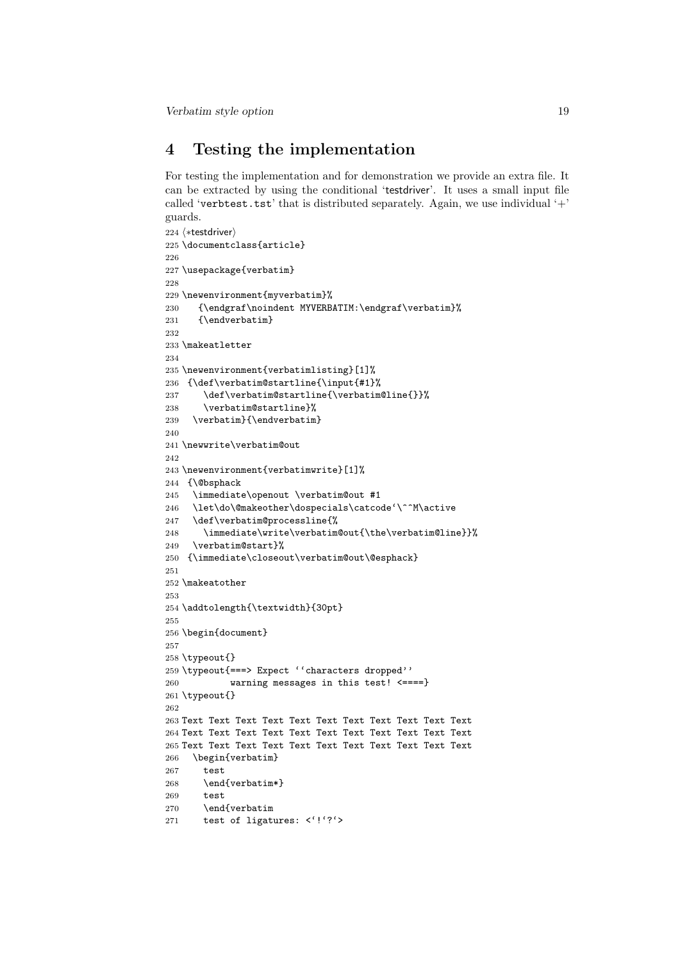# 4 Testing the implementation

For testing the implementation and for demonstration we provide an extra file. It can be extracted by using the conditional 'testdriver'. It uses a small input file called 'verbtest.tst' that is distributed separately. Again, we use individual  $'+$ ' guards.

```
224 ⟨∗testdriver⟩
225 \documentclass{article}
226
227 \usepackage{verbatim}
228
229 \newenvironment{myverbatim}%
230 {\endgraf\noindent MYVERBATIM:\endgraf\verbatim}%
231 {\endverbatim}
232
233 \makeatletter
234
235 \newenvironment{verbatimlisting}[1]%
236 {\def\verbatim@startline{\input{#1}%
237 \def\verbatim@startline{\verbatim@line{}}%
238 \verbatim@startline}%
239 \verbatim}{\endverbatim}
240
241 \newwrite\verbatim@out
242
243 \newenvironment{verbatimwrite}[1]%
244 {\@bsphack
245 \immediate\openout \verbatim@out #1
246 \let\do\@makeother\dospecials\catcode'\^^M\active
247 \def\verbatim@processline{%
248 \immediate\write\verbatim@out{\the\verbatim@line}}%
249 \verbatim@start}%
250 {\immediate\closeout\verbatim@out\@esphack}
251
252 \makeatother
253
254 \addtolength{\textwidth}{30pt}
255
256 \begin{document}
257
258 \typeout{}
259 \typeout{===> Expect ''characters dropped''
260 warning messages in this test! <====}
261 \typeout{}
262
263 Text Text Text Text Text Text Text Text Text Text Text
264 Text Text Text Text Text Text Text Text Text Text Text
265 Text Text Text Text Text Text Text Text Text Text Text
266 \begin{verbatim}
267 test
268 \end{verbatim*}
269 test
270 \end{verbatim
271 test of ligatures: <'!'?'>
```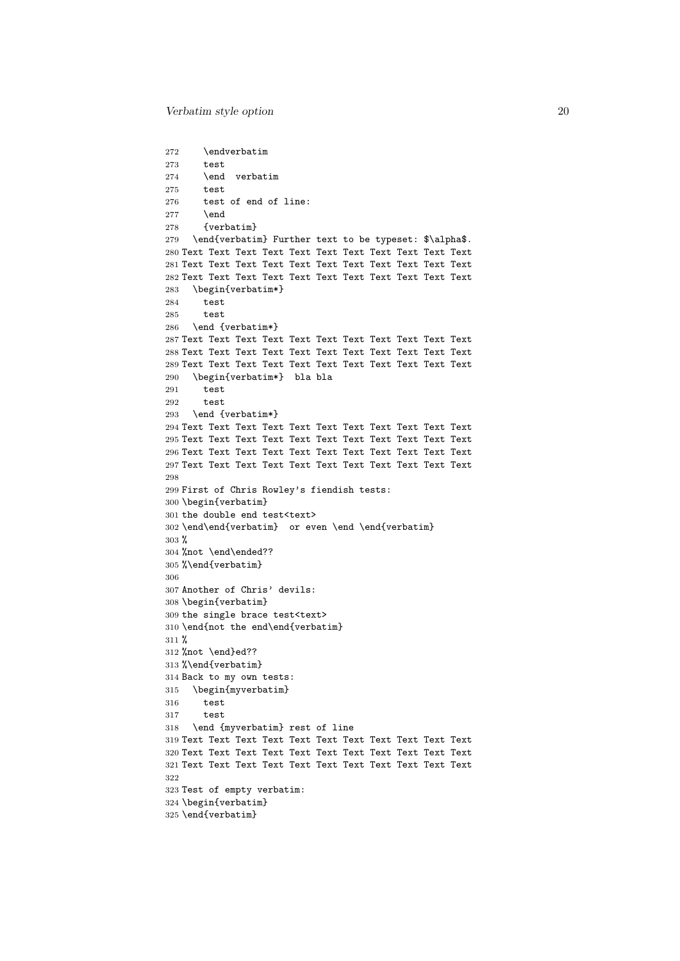```
272 \endverbatim
273 test
274 \end verbatim
275 test
276 test of end of line:
277 \end
278 {verbatim}
279 \end{verbatim} Further text to be typeset: $\alpha$.
280 Text Text Text Text Text Text Text Text Text Text Text
281 Text Text Text Text Text Text Text Text Text Text Text
282 Text Text Text Text Text Text Text Text Text Text Text
283 \begin{verbatim*}
284 test
285 test
286 \end {verbatim*}
287 Text Text Text Text Text Text Text Text Text Text Text
288 Text Text Text Text Text Text Text Text Text Text Text
289 Text Text Text Text Text Text Text Text Text Text Text
290 \begin{verbatim*} bla bla
291 test
292 test
293 \end {verbatim*}
294 Text Text Text Text Text Text Text Text Text Text Text
295 Text Text Text Text Text Text Text Text Text Text Text
296 Text Text Text Text Text Text Text Text Text Text Text
297 Text Text Text Text Text Text Text Text Text Text Text
298
299 First of Chris Rowley's fiendish tests:
300 \begin{verbatim}
301 the double end test<text>
302 \end\end{verbatim} or even \end \end{verbatim}
303 %
304 %not \end\ended??
305 %\end{verbatim}
306
307 Another of Chris' devils:
308 \begin{verbatim}
309 the single brace test<text>
310 \end{not the end\end{verbatim}
311 %
312 %not \end}ed??
313 %\end{verbatim}
314 Back to my own tests:
315 \begin{myverbatim}
316 test
317 test
318 \end {myverbatim} rest of line
319 Text Text Text Text Text Text Text Text Text Text Text
320 Text Text Text Text Text Text Text Text Text Text Text
321 Text Text Text Text Text Text Text Text Text Text Text
322
323 Test of empty verbatim:
324 \begin{verbatim}
325 \end{verbatim}
```